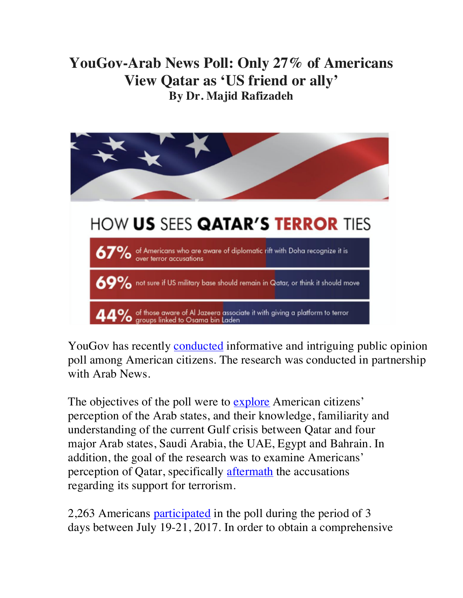## **YouGov-Arab News Poll: Only 27% of Americans View Qatar as 'US friend or ally' By Dr. Majid Rafizadeh**



YouGov has recently conducted informative and intriguing public opinion poll among American citizens. The research was conducted in partnership with Arab News.

The objectives of the poll were to explore American citizens' perception of the Arab states, and their knowledge, familiarity and understanding of the current Gulf crisis between Qatar and four major Arab states, Saudi Arabia, the UAE, Egypt and Bahrain. In addition, the goal of the research was to examine Americans' perception of Qatar, specifically **aftermath** the accusations regarding its support for terrorism.

2,263 Americans participated in the poll during the period of 3 days between July 19-21, 2017. In order to obtain a comprehensive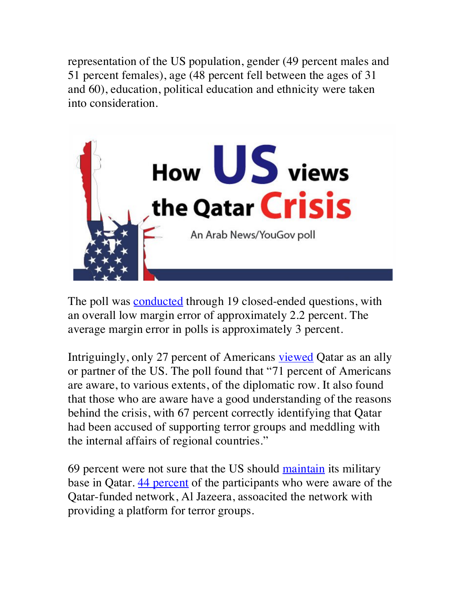representation of the US population, gender (49 percent males and 51 percent females), age (48 percent fell between the ages of 31 and 60), education, political education and ethnicity were taken into consideration.



The poll was conducted through 19 closed-ended questions, with an overall low margin error of approximately 2.2 percent. The average margin error in polls is approximately 3 percent.

Intriguingly, only 27 percent of Americans viewed Qatar as an ally or partner of the US. The poll found that "71 percent of Americans are aware, to various extents, of the diplomatic row. It also found that those who are aware have a good understanding of the reasons behind the crisis, with 67 percent correctly identifying that Qatar had been accused of supporting terror groups and meddling with the internal affairs of regional countries."

69 percent were not sure that the US should maintain its military base in Qatar. **44 percent** of the participants who were aware of the Qatar-funded network, Al Jazeera, assoacited the network with providing a platform for terror groups.